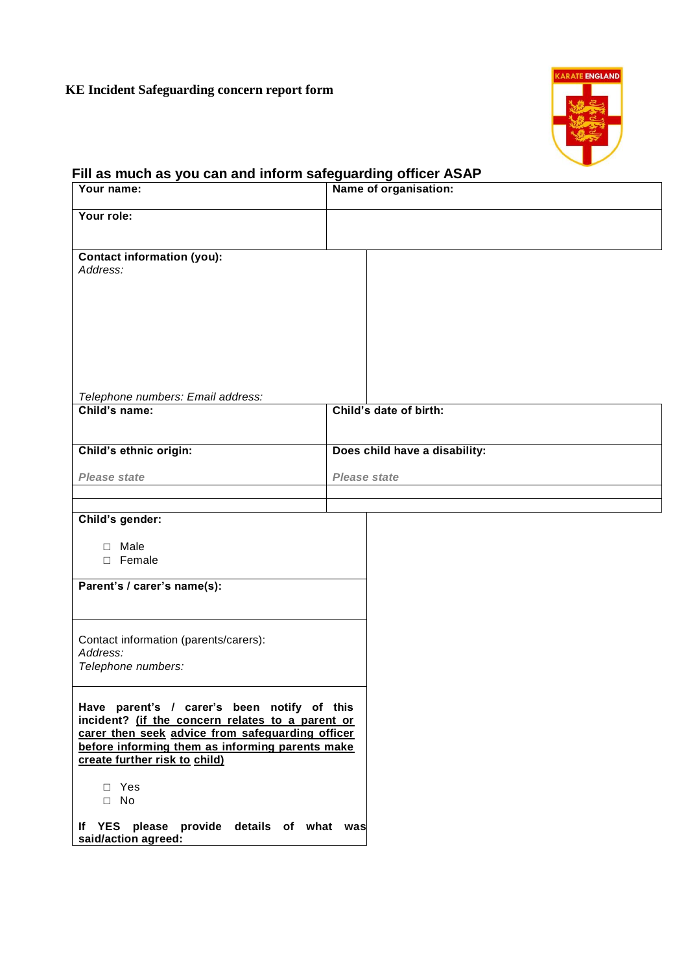## **KE Incident Safeguarding concern report form**



## **Fill as much as you can and inform safeguarding officer ASAP**

| Your name:                                                                                           | Name of organisation:         |  |
|------------------------------------------------------------------------------------------------------|-------------------------------|--|
| Your role:                                                                                           |                               |  |
|                                                                                                      |                               |  |
| <b>Contact information (you):</b><br>Address:                                                        |                               |  |
|                                                                                                      |                               |  |
|                                                                                                      |                               |  |
|                                                                                                      |                               |  |
|                                                                                                      |                               |  |
|                                                                                                      |                               |  |
| Telephone numbers: Email address:                                                                    |                               |  |
| Child's name:                                                                                        | Child's date of birth:        |  |
|                                                                                                      |                               |  |
| Child's ethnic origin:                                                                               | Does child have a disability: |  |
| <b>Please state</b>                                                                                  | <b>Please state</b>           |  |
|                                                                                                      |                               |  |
| Child's gender:                                                                                      |                               |  |
| $\Box$ Male<br>□ Female                                                                              |                               |  |
|                                                                                                      |                               |  |
| Parent's / carer's name(s):                                                                          |                               |  |
|                                                                                                      |                               |  |
| Contact information (parents/carers):                                                                |                               |  |
| Address:<br>Telephone numbers:                                                                       |                               |  |
|                                                                                                      |                               |  |
| Have parent's / carer's been notify of this                                                          |                               |  |
| incident? (if the concern relates to a parent or<br>carer then seek advice from safeguarding officer |                               |  |
| before informing them as informing parents make<br>create further risk to child)                     |                               |  |
|                                                                                                      |                               |  |
| □ Yes<br>$\Box$ No                                                                                   |                               |  |
| If YES please provide details of what was                                                            |                               |  |
| said/action agreed:                                                                                  |                               |  |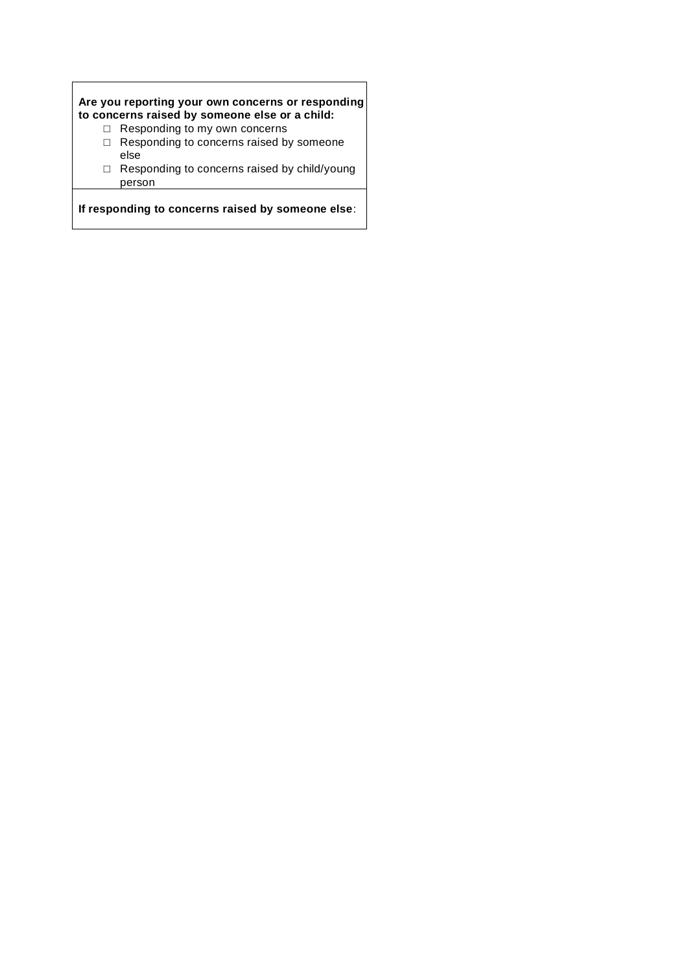## **Are you reporting your own concerns or responding to concerns raised by someone else or a child:**

- □ Responding to my own concerns
- □ Responding to concerns raised by someone else
- □ Responding to concerns raised by child/young person

**If responding to concerns raised by someone else**: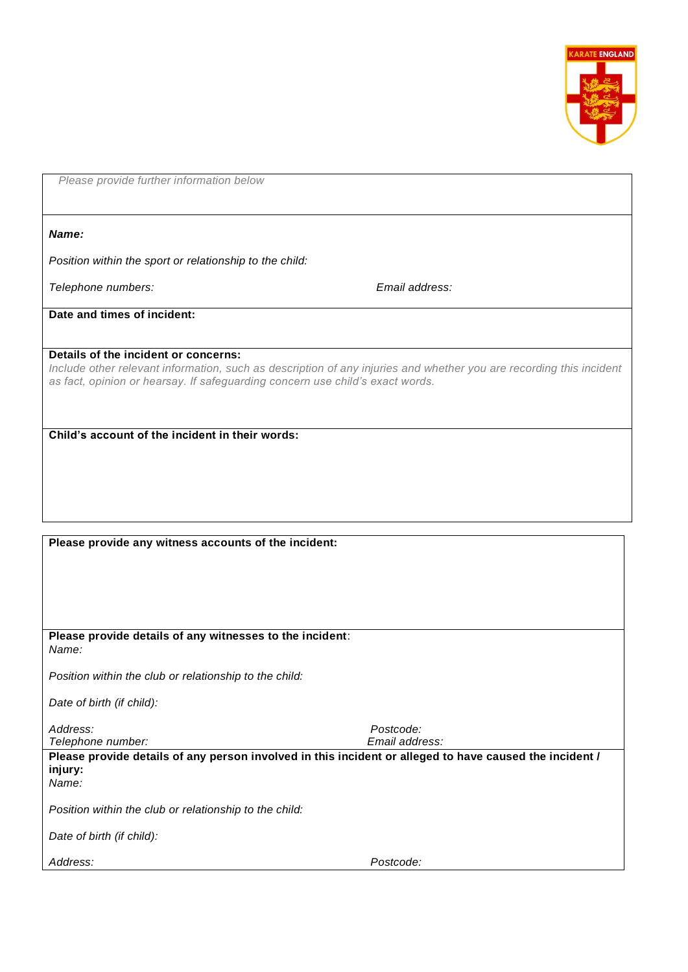

*Please provide further information below*

*Name:*

*Position within the sport or relationship to the child:*

*Telephone numbers: Email address:*

**Date and times of incident:**

**Details of the incident or concerns:** *Include other relevant information, such as description of any injuries and whether you are recording this incident as fact, opinion or hearsay. If safeguarding concern use child's exact words.*

**Child's account of the incident in their words:**

**Please provide any witness accounts of the incident:**

**Please provide details of any witnesses to the incident**: *Name: Position within the club or relationship to the child: Date of birth (if child): Address: Postcode: Telephone number: Email address:* **Please provide details of any person involved in this incident or alleged to have caused the incident / injury:** *Name: Position within the club or relationship to the child: Date of birth (if child): Address: Postcode:*